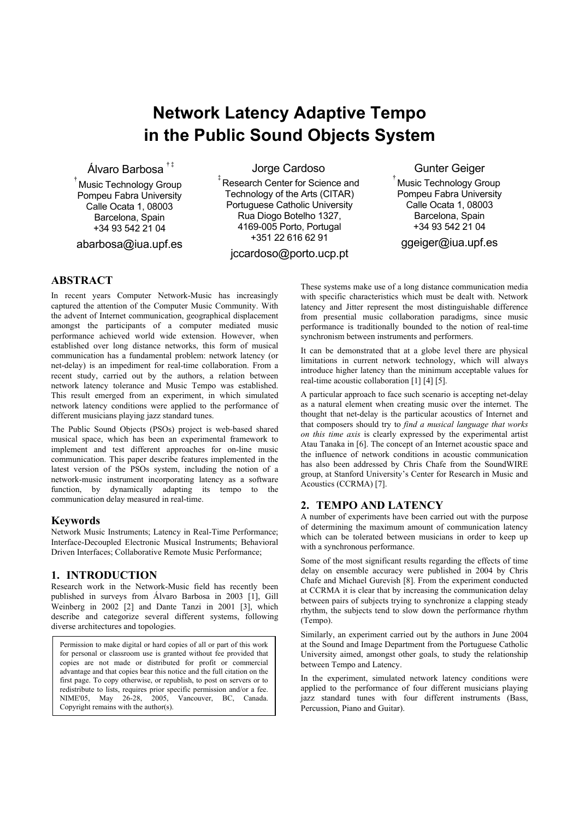# **Network Latency Adaptive Tempo in the Public Sound Objects System**

Álvaro Barbosa **† ‡**

**†**  Music Technology Group Pompeu Fabra University Calle Ocata 1, 08003 Barcelona, Spain +34 93 542 21 04

abarbosa@iua.upf.es

Jorge Cardoso

**‡**  Research Center for Science and Technology of the Arts (CITAR) Portuguese Catholic University Rua Diogo Botelho 1327, 4169-005 Porto, Portugal +351 22 616 62 91

jccardoso@porto.ucp.pt

Gunter Geiger

**†**  Music Technology Group Pompeu Fabra University Calle Ocata 1, 08003 Barcelona, Spain +34 93 542 21 04

ggeiger@iua.upf.es

# **ABSTRACT**

In recent years Computer Network-Music has increasingly captured the attention of the Computer Music Community. With the advent of Internet communication, geographical displacement amongst the participants of a computer mediated music performance achieved world wide extension. However, when established over long distance networks, this form of musical communication has a fundamental problem: network latency (or net-delay) is an impediment for real-time collaboration. From a recent study, carried out by the authors, a relation between network latency tolerance and Music Tempo was established. This result emerged from an experiment, in which simulated network latency conditions were applied to the performance of different musicians playing jazz standard tunes.

The Public Sound Objects (PSOs) project is web-based shared musical space, which has been an experimental framework to implement and test different approaches for on-line music communication. This paper describe features implemented in the latest version of the PSOs system, including the notion of a network-music instrument incorporating latency as a software function, by dynamically adapting its tempo to the communication delay measured in real-time.

# **Keywords**

Network Music Instruments; Latency in Real-Time Performance; Interface-Decoupled Electronic Musical Instruments; Behavioral Driven Interfaces; Collaborative Remote Music Performance;

# **1. INTRODUCTION**

Research work in the Network-Music field has recently been published in surveys from Álvaro Barbosa in 2003 [1], Gill Weinberg in 2002 [2] and Dante Tanzi in 2001 [3], which describe and categorize several different systems, following diverse architectures and topologies.

Permission to make digital or hard copies of all or part of this work for personal or classroom use is granted without fee provided that copies are not made or distributed for profit or commercial advantage and that copies bear this notice and the full citation on the first page. To copy otherwise, or republish, to post on servers or to redistribute to lists, requires prior specific permission and/or a fee. NIME'05, May 26-28, 2005, Vancouver, BC, Canada. Copyright remains with the author(s).

These systems make use of a long distance communication media with specific characteristics which must be dealt with. Network latency and Jitter represent the most distinguishable difference from presential music collaboration paradigms, since music performance is traditionally bounded to the notion of real-time synchronism between instruments and performers.

It can be demonstrated that at a globe level there are physical limitations in current network technology, which will always introduce higher latency than the minimum acceptable values for real-time acoustic collaboration [1] [4] [5].

A particular approach to face such scenario is accepting net-delay as a natural element when creating music over the internet. The thought that net-delay is the particular acoustics of Internet and that composers should try to *find a musical language that works on this time axis* is clearly expressed by the experimental artist Atau Tanaka in [6]. The concept of an Internet acoustic space and the influence of network conditions in acoustic communication has also been addressed by Chris Chafe from the SoundWIRE group, at Stanford University's Center for Research in Music and Acoustics (CCRMA) [7].

# **2. TEMPO AND LATENCY**

A number of experiments have been carried out with the purpose of determining the maximum amount of communication latency which can be tolerated between musicians in order to keep up with a synchronous performance.

Some of the most significant results regarding the effects of time delay on ensemble accuracy were published in 2004 by Chris Chafe and Michael Gurevish [8]. From the experiment conducted at CCRMA it is clear that by increasing the communication delay between pairs of subjects trying to synchronize a clapping steady rhythm, the subjects tend to slow down the performance rhythm (Tempo).

Similarly, an experiment carried out by the authors in June 2004 at the Sound and Image Department from the Portuguese Catholic University aimed, amongst other goals, to study the relationship between Tempo and Latency.

In the experiment, simulated network latency conditions were applied to the performance of four different musicians playing jazz standard tunes with four different instruments (Bass, Percussion, Piano and Guitar).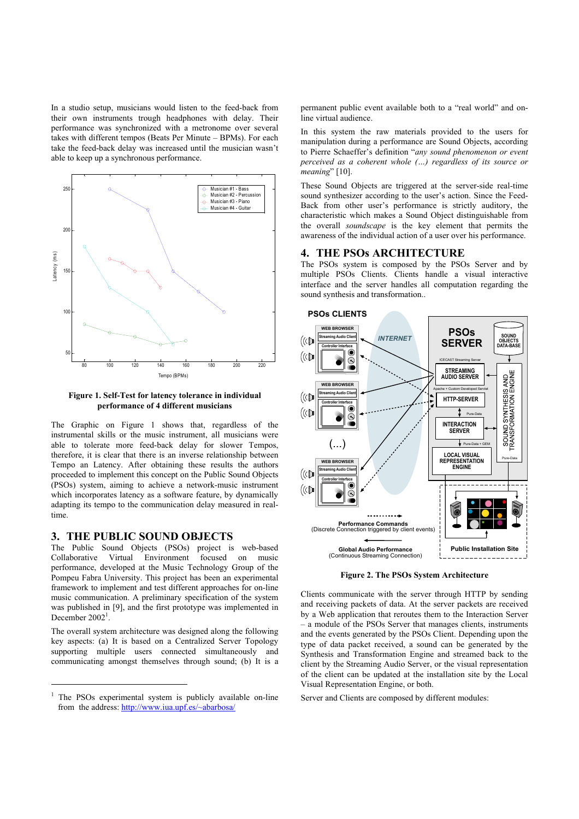In a studio setup, musicians would listen to the feed-back from their own instruments trough headphones with delay. Their performance was synchronized with a metronome over several takes with different tempos (Beats Per Minute – BPMs). For each take the feed-back delay was increased until the musician wasn't able to keep up a synchronous performance.



**Figure 1. Self-Test for latency tolerance in individual performance of 4 different musicians** 

The Graphic on Figure 1 shows that, regardless of the instrumental skills or the music instrument, all musicians were able to tolerate more feed-back delay for slower Tempos, therefore, it is clear that there is an inverse relationship between Tempo an Latency. After obtaining these results the authors proceeded to implement this concept on the Public Sound Objects (PSOs) system, aiming to achieve a network-music instrument which incorporates latency as a software feature, by dynamically adapting its tempo to the communication delay measured in realtime.

## **3. THE PUBLIC SOUND OBJECTS**

The Public Sound Objects (PSOs) project is web-based Collaborative Virtual Environment focused on music performance, developed at the Music Technology Group of the Pompeu Fabra University. This project has been an experimental framework to implement and test different approaches for on-line music communication. A preliminary specification of the system was published in [9], and the first prototype was implemented in December 2002<sup>1</sup>.

The overall system architecture was designed along the following key aspects: (a) It is based on a Centralized Server Topology supporting multiple users connected simultaneously and communicating amongst themselves through sound; (b) It is a

 $\overline{a}$ 

permanent public event available both to a "real world" and online virtual audience.

In this system the raw materials provided to the users for manipulation during a performance are Sound Objects, according to Pierre Schaeffer's definition "*any sound phenomenon or event perceived as a coherent whole (…) regardless of its source or meaning*" [10].

These Sound Objects are triggered at the server-side real-time sound synthesizer according to the user's action. Since the Feed-Back from other user's performance is strictly auditory, the characteristic which makes a Sound Object distinguishable from the overall *soundscape* is the key element that permits the awareness of the individual action of a user over his performance.

#### **4. THE PSOs ARCHITECTURE**

The PSOs system is composed by the PSOs Server and by multiple PSOs Clients. Clients handle a visual interactive interface and the server handles all computation regarding the sound synthesis and transformation..



**Figure 2. The PSOs System Architecture** 

Clients communicate with the server through HTTP by sending and receiving packets of data. At the server packets are received by a Web application that reroutes them to the Interaction Server – a module of the PSOs Server that manages clients, instruments and the events generated by the PSOs Client. Depending upon the type of data packet received, a sound can be generated by the Synthesis and Transformation Engine and streamed back to the client by the Streaming Audio Server, or the visual representation of the client can be updated at the installation site by the Local Visual Representation Engine, or both.

Server and Clients are composed by different modules:

<sup>1</sup> The PSOs experimental system is publicly available on-line from the address: http://www.iua.upf.es/~abarbosa/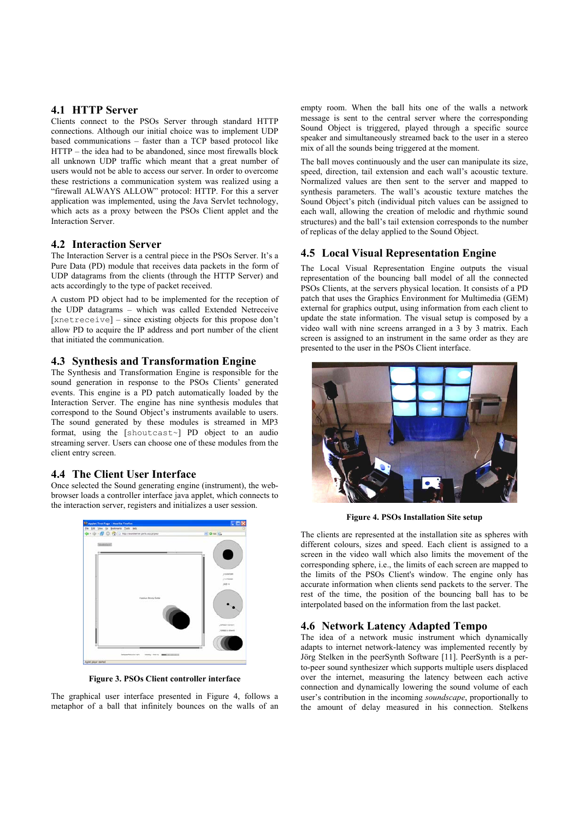## **4.1 HTTP Server**

Clients connect to the PSOs Server through standard HTTP connections. Although our initial choice was to implement UDP based communications – faster than a TCP based protocol like HTTP – the idea had to be abandoned, since most firewalls block all unknown UDP traffic which meant that a great number of users would not be able to access our server. In order to overcome these restrictions a communication system was realized using a "firewall ALWAYS ALLOW" protocol: HTTP. For this a server application was implemented, using the Java Servlet technology, which acts as a proxy between the PSOs Client applet and the Interaction Server.

## **4.2 Interaction Server**

The Interaction Server is a central piece in the PSOs Server. It's a Pure Data (PD) module that receives data packets in the form of UDP datagrams from the clients (through the HTTP Server) and acts accordingly to the type of packet received.

A custom PD object had to be implemented for the reception of the UDP datagrams – which was called Extended Netreceive [xnetreceive] – since existing objects for this propose don't allow PD to acquire the IP address and port number of the client that initiated the communication.

## **4.3 Synthesis and Transformation Engine**

The Synthesis and Transformation Engine is responsible for the sound generation in response to the PSOs Clients' generated events. This engine is a PD patch automatically loaded by the Interaction Server. The engine has nine synthesis modules that correspond to the Sound Object's instruments available to users. The sound generated by these modules is streamed in MP3 format, using the [shoutcast~] PD object to an audio streaming server. Users can choose one of these modules from the client entry screen.

# **4.4 The Client User Interface**

Once selected the Sound generating engine (instrument), the webbrowser loads a controller interface java applet, which connects to the interaction server, registers and initializes a user session.



**Figure 3. PSOs Client controller interface** 

The graphical user interface presented in Figure 4, follows a metaphor of a ball that infinitely bounces on the walls of an empty room. When the ball hits one of the walls a network message is sent to the central server where the corresponding Sound Object is triggered, played through a specific source speaker and simultaneously streamed back to the user in a stereo mix of all the sounds being triggered at the moment.

The ball moves continuously and the user can manipulate its size, speed, direction, tail extension and each wall's acoustic texture. Normalized values are then sent to the server and mapped to synthesis parameters. The wall's acoustic texture matches the Sound Object's pitch (individual pitch values can be assigned to each wall, allowing the creation of melodic and rhythmic sound structures) and the ball's tail extension corresponds to the number of replicas of the delay applied to the Sound Object.

# **4.5 Local Visual Representation Engine**

The Local Visual Representation Engine outputs the visual representation of the bouncing ball model of all the connected PSOs Clients, at the servers physical location. It consists of a PD patch that uses the Graphics Environment for Multimedia (GEM) external for graphics output, using information from each client to update the state information. The visual setup is composed by a video wall with nine screens arranged in a 3 by 3 matrix. Each screen is assigned to an instrument in the same order as they are presented to the user in the PSOs Client interface.



**Figure 4. PSOs Installation Site setup** 

The clients are represented at the installation site as spheres with different colours, sizes and speed. Each client is assigned to a screen in the video wall which also limits the movement of the corresponding sphere, i.e., the limits of each screen are mapped to the limits of the PSOs Client's window. The engine only has accurate information when clients send packets to the server. The rest of the time, the position of the bouncing ball has to be interpolated based on the information from the last packet.

## **4.6 Network Latency Adapted Tempo**

The idea of a network music instrument which dynamically adapts to internet network-latency was implemented recently by Jörg Stelken in the peerSynth Software [11]. PeerSynth is a perto-peer sound synthesizer which supports multiple users displaced over the internet, measuring the latency between each active connection and dynamically lowering the sound volume of each user's contribution in the incoming *soundscape*, proportionally to the amount of delay measured in his connection. Stelkens